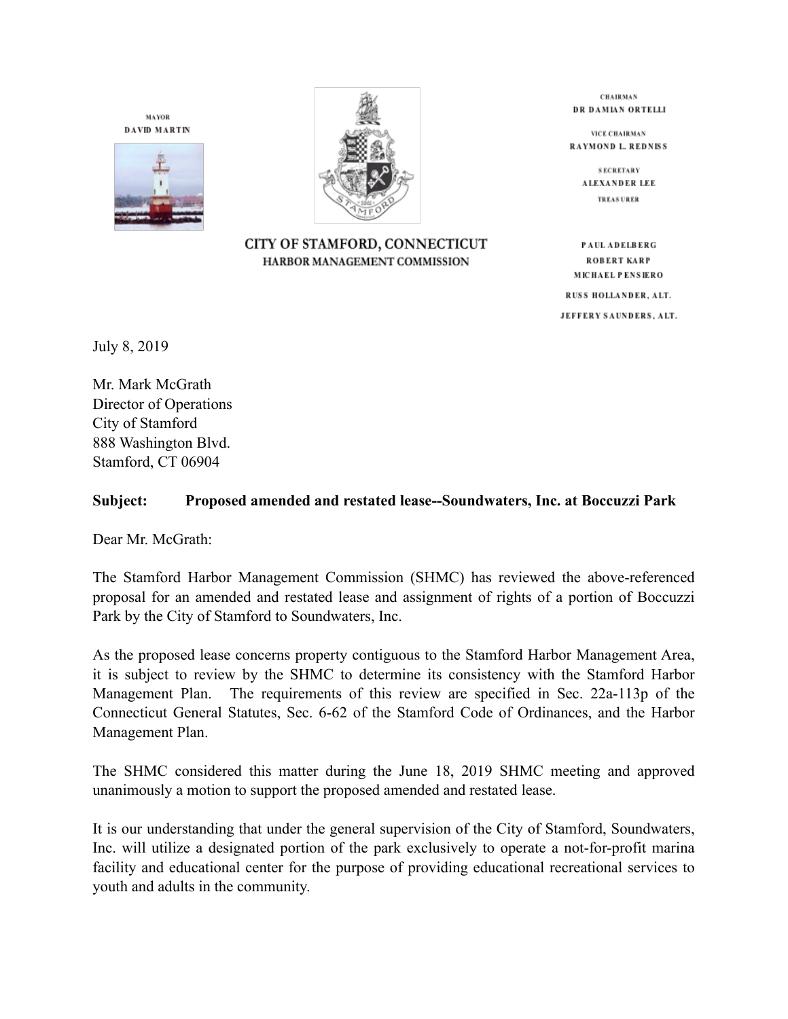**MAYOR DAVID MARTIN** 





CITY OF STAMFORD, CONNECTICUT HARBOR MANAGEMENT COMMISSION

**CHAIRMAN** DR DAMIAN ORTELLI

**VICE CHAIRMAN** RAYMOND L. REDNISS

> **SECRETARY** ALEXANDER LEE **TREAS URER**

PAUL ADELBERG ROBERT KARP MICHAEL PENSIERO

RUSS HOLLANDER, ALT. JEFFERY SAUNDERS, ALT.

July 8, 2019

Mr. Mark McGrath Director of Operations City of Stamford 888 Washington Blvd. Stamford, CT 06904

## **Subject: Proposed amended and restated lease--Soundwaters, Inc. at Boccuzzi Park**

Dear Mr. McGrath:

The Stamford Harbor Management Commission (SHMC) has reviewed the above-referenced proposal for an amended and restated lease and assignment of rights of a portion of Boccuzzi Park by the City of Stamford to Soundwaters, Inc.

As the proposed lease concerns property contiguous to the Stamford Harbor Management Area, it is subject to review by the SHMC to determine its consistency with the Stamford Harbor Management Plan. The requirements of this review are specified in Sec. 22a-113p of the Connecticut General Statutes, Sec. 6-62 of the Stamford Code of Ordinances, and the Harbor Management Plan.

The SHMC considered this matter during the June 18, 2019 SHMC meeting and approved unanimously a motion to support the proposed amended and restated lease.

It is our understanding that under the general supervision of the City of Stamford, Soundwaters, Inc. will utilize a designated portion of the park exclusively to operate a not-for-profit marina facility and educational center for the purpose of providing educational recreational services to youth and adults in the community.